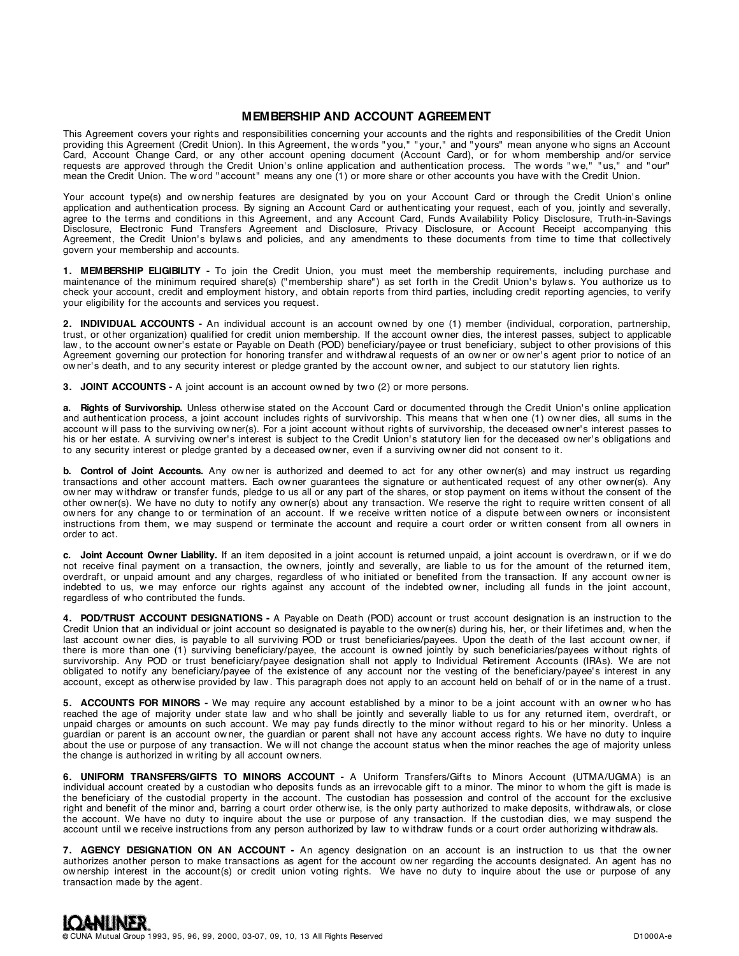# **MEMBERSHIP AND ACCOUNT AGREEMENT**

This Agreement covers your rights and responsibilities concerning your accounts and the rights and responsibilities of the Credit Union providing this Agreement (Credit Union). In this Agreement, the w ords " you," " your," and " yours" mean anyone w ho signs an Account Card, Account Change Card, or any other account opening document (Account Card), or for w hom membership and/or service requests are approved through the Credit Union's online application and authentication process. The words "we," "us," and "our" mean the Credit Union. The w ord " account" means any one (1) or more share or other accounts you have w ith the Credit Union.

Your account type(s) and ownership features are designated by you on your Account Card or through the Credit Union's online application and authentication process. By signing an Account Card or authenticating your request, each of you, jointly and severally, agree to the terms and conditions in this Agreement, and any Account Card, Funds Availability Policy Disclosure, Truth-in-Savings Disclosure, Electronic Fund Transfers Agreement and Disclosure, Privacy Disclosure, or Account Receipt accompanying this Agreement, the Credit Union's bylaws and policies, and any amendments to these documents from time to time that collectively govern your membership and accounts.

**1. MEMBERSHIP ELIGIBILITY -** To join the Credit Union, you must meet the membership requirements, including purchase and maintenance of the minimum required share(s) ("membership share") as set forth in the Credit Union's bylaws. You authorize us to check your account, credit and employment history, and obtain reports from third parties, including credit reporting agencies, to verify your eligibility for the accounts and services you request.

**2. INDIVIDUAL ACCOUNTS -** An individual account is an account ow ned by one (1) member (individual, corporation, partnership, trust, or other organization) qualified for credit union membership. If the account ow ner dies, the interest passes, subject to applicable law, to the account owner's estate or Payable on Death (POD) beneficiary/payee or trust beneficiary, subject to other provisions of this Agreement governing our protection for honoring transfer and withdrawal requests of an owner or owner's agent prior to notice of an ow ner' s death, and to any security interest or pledge granted by the account ow ner, and subject to our statutory lien rights.

**3. JOINT ACCOUNTS -** A joint account is an account ow ned by tw o (2) or more persons.

a. Rights of Survivorship. Unless otherwise stated on the Account Card or documented through the Credit Union's online application and authentication process, a joint account includes rights of survivorship. This means that w hen one (1) ow ner dies, all sums in the account will pass to the surviving owner(s). For a joint account without rights of survivorship, the deceased owner's interest passes to his or her estate. A surviving owner's interest is subject to the Credit Union's statutory lien for the deceased owner's obligations and to any security interest or pledge granted by a deceased ow ner, even if a surviving ow ner did not consent to it.

**b. Control of Joint Accounts.** Any ow ner is authorized and deemed to act for any other ow ner(s) and may instruct us regarding transactions and other account matters. Each ow ner guarantees the signature or authenticated request of any other ow ner(s). Any ow ner may w ithdraw or transfer funds, pledge to us all or any part of the shares, or stop payment on items w ithout the consent of the other ow ner(s). We have no duty to notify any ow ner(s) about any transaction. We reserve the right to require w ritten consent of all ow ners for any change to or termination of an account. If we receive written notice of a dispute between owners or inconsistent instructions from them, we may suspend or terminate the account and require a court order or written consent from all owners in order to act.

**c. Joint Account Owner Liability.** If an item deposited in a joint account is returned unpaid, a joint account is overdraw n, or if w e do not receive final payment on a transaction, the ow ners, jointly and severally, are liable to us for the amount of the returned item, overdraft, or unpaid amount and any charges, regardless of w ho initiated or benefited from the transaction. If any account ow ner is indebted to us, we may enforce our rights against any account of the indebted owner, including all funds in the joint account, regardless of w ho contributed the funds.

**4. POD/TRUST ACCOUNT DESIGNATIONS -** A Payable on Death (POD) account or trust account designation is an instruction to the Credit Union that an individual or joint account so designated is payable to the ow ner(s) during his, her, or their lifetimes and, w hen the last account ow ner dies, is payable to all surviving POD or trust beneficiaries/payees. Upon the death of the last account ow ner, if there is more than one (1) surviving beneficiary/payee, the account is owned jointly by such beneficiaries/payees without rights of survivorship. Any POD or trust beneficiary/payee designation shall not apply to Individual Retirement Accounts (IRAs). We are not obligated to notify any beneficiary/payee of the existence of any account nor the vesting of the beneficiary/payee's interest in any account, except as otherw ise provided by law . This paragraph does not apply to an account held on behalf of or in the name of a trust.

5. ACCOUNTS FOR MINORS - We may require any account established by a minor to be a joint account with an owner who has reached the age of majority under state law and who shall be jointly and severally liable to us for any returned item, overdraft, or unpaid charges or amounts on such account. We may pay funds directly to the minor w ithout regard to his or her minority. Unless a guardian or parent is an account ow ner, the guardian or parent shall not have any account access rights. We have no duty to inquire about the use or purpose of any transaction. We will not change the account status when the minor reaches the age of majority unless the change is authorized in w riting by all account ow ners.

**6. UNIFORM TRANSFERS/GIFTS TO MINORS ACCOUNT -** A Uniform Transfers/Gifts to Minors Account (UTMA/UGMA) is an individual account created by a custodian w ho deposits funds as an irrevocable gift to a minor. The minor to w hom the gift is made is the beneficiary of the custodial property in the account. The custodian has possession and control of the account for the exclusive right and benefit of the minor and, barring a court order otherw ise, is the only party authorized to make deposits, w ithdraw als, or close the account. We have no duty to inquire about the use or purpose of any transaction. If the custodian dies, w e may suspend the account until we receive instructions from any person authorized by law to withdraw funds or a court order authorizing withdrawals.

**7. AGENCY DESIGNATION ON AN ACCOUNT -** An agency designation on an account is an instruction to us that the ow ner authorizes another person to make transactions as agent for the account ow ner regarding the accounts designated. An agent has no ow nership interest in the account(s) or credit union voting rights. We have no duty to inquire about the use or purpose of any transaction made by the agent.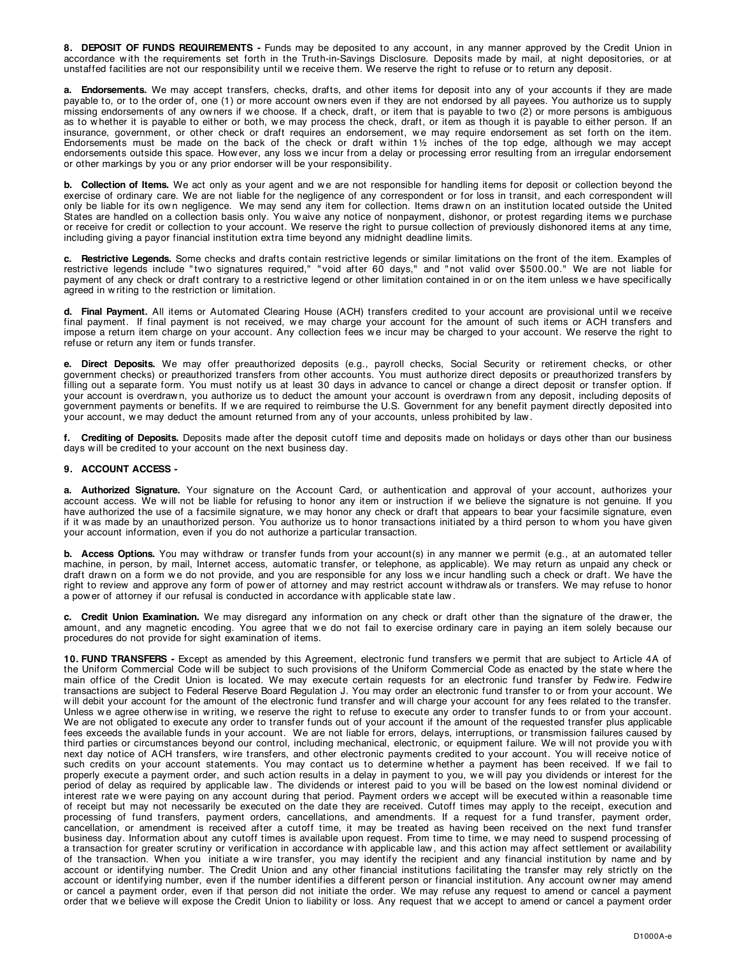**8. DEPOSIT OF FUNDS REQUIREMENTS -** Funds may be deposited to any account, in any manner approved by the Credit Union in accordance w ith the requirements set forth in the Truth-in-Savings Disclosure. Deposits made by mail, at night depositories, or at unstaffed facilities are not our responsibility until we receive them. We reserve the right to refuse or to return any deposit.

**a. Endorsements.** We may accept transfers, checks, drafts, and other items for deposit into any of your accounts if they are made payable to, or to the order of, one (1) or more account ow ners even if they are not endorsed by all payees. You authorize us to supply missing endorsements of any owners if we choose. If a check, draft, or item that is payable to two (2) or more persons is ambiguous as to whether it is payable to either or both, we may process the check, draft, or item as though it is payable to either person. If an insurance, government, or other check or draft requires an endorsement, w e may require endorsement as set forth on the item. Endorsements must be made on the back of the check or draft within  $1\frac{1}{2}$  inches of the top edge, although we may accept endorsements outside this space. How ever, any loss we incur from a delay or processing error resulting from an irregular endorsement or other markings by you or any prior endorser w ill be your responsibility.

**b.** Collection of Items. We act only as your agent and we are not responsible for handling items for deposit or collection beyond the exercise of ordinary care. We are not liable for the negligence of any correspondent or for loss in transit, and each correspondent will only be liable for its ow n negligence. We may send any item for collection. Items draw n on an institution located outside the United States are handled on a collection basis only. You waive any notice of nonpayment, dishonor, or protest regarding items we purchase or receive for credit or collection to your account. We reserve the right to pursue collection of previously dishonored items at any time, including giving a payor financial institution extra time beyond any midnight deadline limits.

**c. Restrictive Legends.** Some checks and drafts contain restrictive legends or similar limitations on the front of the item. Examples of restrictive legends include " tw o signatures required," " void after 60 days," and " not valid over \$500.00." We are not liable for payment of any check or draft contrary to a restrictive legend or other limitation contained in or on the item unless we have specifically agreed in w riting to the restriction or limitation.

d. Final Payment. All items or Automated Clearing House (ACH) transfers credited to your account are provisional until we receive final payment. If final payment is not received, we may charge your account for the amount of such items or ACH transfers and impose a return item charge on your account. Any collection fees we incur may be charged to your account. We reserve the right to refuse or return any item or funds transfer.

**e. Direct Deposits.** We may offer preauthorized deposits (e.g., payroll checks, Social Security or retirement checks, or other government checks) or preauthorized transfers from other accounts. You must authorize direct deposits or preauthorized transfers by filling out a separate form. You must notify us at least 30 days in advance to cancel or change a direct deposit or transfer option. If your account is overdraw n, you authorize us to deduct the amount your account is overdraw n from any deposit, including deposits of government payments or benefits. If w e are required to reimburse the U.S. Government for any benefit payment directly deposited into your account, we may deduct the amount returned from any of your accounts, unless prohibited by law.

**f. Crediting of Deposits.** Deposits made after the deposit cutoff time and deposits made on holidays or days other than our business days w ill be credited to your account on the next business day.

# **9. ACCOUNT ACCESS -**

**a. Authorized Signature.** Your signature on the Account Card, or authentication and approval of your account, authorizes your account access. We will not be liable for refusing to honor any item or instruction if we believe the signature is not genuine. If you have authorized the use of a facsimile signature, we may honor any check or draft that appears to bear your facsimile signature, even if it w as made by an unauthorized person. You authorize us to honor transactions initiated by a third person to w hom you have given your account information, even if you do not authorize a particular transaction.

**b.** Access Options. You may withdraw or transfer funds from your account(s) in any manner we permit (e.g., at an automated teller machine, in person, by mail, Internet access, automatic transfer, or telephone, as applicable). We may return as unpaid any check or draft drawn on a form we do not provide, and you are responsible for any loss we incur handling such a check or draft. We have the right to review and approve any form of pow er of attorney and may restrict account w ithdraw als or transfers. We may refuse to honor a pow er of attorney if our refusal is conducted in accordance w ith applicable state law .

**c. Credit Union Examination.** We may disregard any information on any check or draft other than the signature of the draw er, the amount, and any magnetic encoding. You agree that w e do not fail to exercise ordinary care in paying an item solely because our procedures do not provide for sight examination of items.

10. FUND TRANSFERS - Except as amended by this Agreement, electronic fund transfers we permit that are subject to Article 4A of the Uniform Commercial Code will be subject to such provisions of the Uniform Commercial Code as enacted by the state w here the main office of the Credit Union is located. We may execute certain requests for an electronic fund transfer by Fedwire. Fedwire transactions are subject to Federal Reserve Board Regulation J. You may order an electronic fund transfer to or from your account. We will debit your account for the amount of the electronic fund transfer and will charge your account for any fees related to the transfer. Unless we agree otherwise in writing, we reserve the right to refuse to execute any order to transfer funds to or from your account. We are not obligated to execute any order to transfer funds out of your account if the amount of the requested transfer plus applicable fees exceeds the available funds in your account. We are not liable for errors, delays, interruptions, or transmission failures caused by third parties or circumstances beyond our control, including mechanical, electronic, or equipment failure. We w ill not provide you w ith next day notice of ACH transfers, w ire transfers, and other electronic payments credited to your account. You w ill receive notice of such credits on your account statements. You may contact us to determine whether a payment has been received. If we fail to properly execute a payment order, and such action results in a delay in payment to you, we will pay you dividends or interest for the period of delay as required by applicable law. The dividends or interest paid to you will be based on the low est nominal dividend or interest rate we were paying on any account during that period. Payment orders we accept will be executed within a reasonable time of receipt but may not necessarily be executed on the date they are received. Cutoff times may apply to the receipt, execution and processing of fund transfers, payment orders, cancellations, and amendments. If a request for a fund transfer, payment order, cancellation, or amendment is received after a cutoff time, it may be treated as having been received on the next fund transfer business day. Information about any cutoff times is available upon request. From time to time, w e may need to suspend processing of a transaction for greater scrutiny or verification in accordance with applicable law, and this action may affect settlement or availability of the transaction. When you initiate a w ire transfer, you may identify the recipient and any financial institution by name and by account or identifying number. The Credit Union and any other financial institutions facilitating the transfer may rely strictly on the account or identifying number, even if the number identifies a different person or financial institution. Any account ow ner may amend or cancel a payment order, even if that person did not initiate the order. We may refuse any request to amend or cancel a payment order that we believe will expose the Credit Union to liability or loss. Any request that we accept to amend or cancel a payment order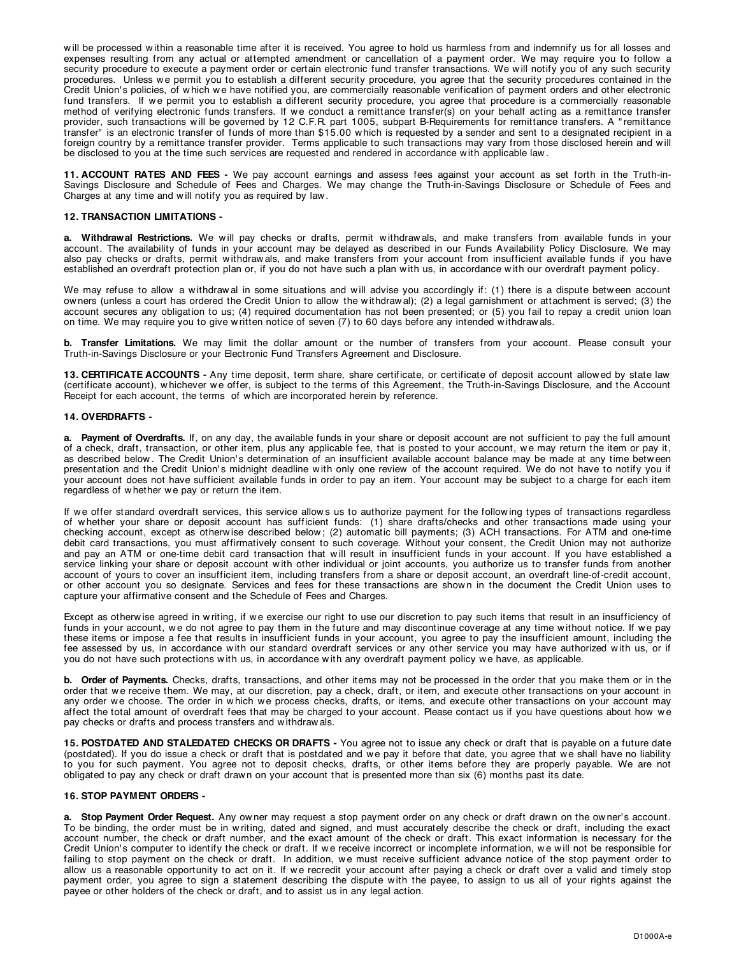will be processed within a reasonable time after it is received. You agree to hold us harmless from and indemnify us for all losses and expenses resulting from any actual or attempted amendment or cancellation of a payment order. We may require you to follow a security procedure to execute a payment order or certain electronic fund transfer transactions. We will notify you of any such security procedures. Unless we permit you to establish a different security procedure, you agree that the security procedures contained in the Credit Union's policies, of which we have notified you, are commercially reasonable verification of payment orders and other electronic fund transfers. If we permit you to establish a different security procedure, you agree that procedure is a commercially reasonable method of verifying electronic funds transfers. If w e conduct a remittance transfer(s) on your behalf acting as a remittance transfer provider, such transactions w ill be governed by 12 C.F.R. part 1005, subpart B-Requirements for remittance transfers. A " remittance transfer" is an electronic transfer of funds of more than \$15.00 w hich is requested by a sender and sent to a designated recipient in a foreign country by a remittance transfer provider. Terms applicable to such transactions may vary from those disclosed herein and will be disclosed to you at the time such services are requested and rendered in accordance w ith applicable law .

**11. ACCOUNT RATES AND FEES -** We pay account earnings and assess fees against your account as set forth in the Truth-in-Savings Disclosure and Schedule of Fees and Charges. We may change the Truth-in-Savings Disclosure or Schedule of Fees and Charges at any time and w ill notify you as required by law .

### **12. TRANSACTION LIMITATIONS -**

a. Withdrawal Restrictions. We will pay checks or drafts, permit withdrawals, and make transfers from available funds in your account. The availability of funds in your account may be delayed as described in our Funds Availability Policy Disclosure. We may also pay checks or drafts, permit w ithdraw als, and make transfers from your account from insufficient available funds if you have established an overdraft protection plan or, if you do not have such a plan w ith us, in accordance w ith our overdraft payment policy.

We may refuse to allow a withdrawal in some situations and will advise you accordingly if: (1) there is a dispute between account ow ners (unless a court has ordered the Credit Union to allow the w ithdraw al); (2) a legal garnishment or attachment is served; (3) the account secures any obligation to us; (4) required documentation has not been presented; or (5) you fail to repay a credit union loan on time. We may require you to give w ritten notice of seven (7) to 60 days before any intended w ithdraw als.

**b. Transfer Limitations.** We may limit the dollar amount or the number of transfers from your account. Please consult your Truth-in-Savings Disclosure or your Electronic Fund Transfers Agreement and Disclosure.

**13. CERTIFICATE ACCOUNTS -** Any time deposit, term share, share certificate, or certificate of deposit account allow ed by state law (certificate account), w hichever w e offer, is subject to the terms of this Agreement, the Truth-in-Savings Disclosure, and the Account Receipt for each account, the terms of w hich are incorporated herein by reference.

#### **14. OVERDRAFTS -**

**a. Payment of Overdrafts.** If, on any day, the available funds in your share or deposit account are not sufficient to pay the full amount of a check, draft, transaction, or other item, plus any applicable fee, that is posted to your account, w e may return the item or pay it, as described below. The Credit Union's determination of an insufficient available account balance may be made at any time between presentation and the Credit Union's midnight deadline with only one review of the account required. We do not have to notify you if your account does not have sufficient available funds in order to pay an item. Your account may be subject to a charge for each item regardless of w hether w e pay or return the item.

If we offer standard overdraft services, this service allows us to authorize payment for the following types of transactions regardless of w hether your share or deposit account has sufficient funds: (1) share drafts/checks and other transactions made using your checking account, except as otherw ise described below ; (2) automatic bill payments; (3) ACH transactions. For ATM and one-time debit card transactions, you must affirmatively consent to such coverage. Without your consent, the Credit Union may not authorize and pay an ATM or one-time debit card transaction that w ill result in insufficient funds in your account. If you have established a service linking your share or deposit account with other individual or joint accounts, you authorize us to transfer funds from another account of yours to cover an insufficient item, including transfers from a share or deposit account, an overdraft line-of-credit account, or other account you so designate. Services and fees for these transactions are show n in the document the Credit Union uses to capture your affirmative consent and the Schedule of Fees and Charges.

Except as otherw ise agreed in w riting, if w e exercise our right to use our discretion to pay such items that result in an insufficiency of funds in your account, we do not agree to pay them in the future and may discontinue coverage at any time without notice. If we pay these items or impose a fee that results in insufficient funds in your account, you agree to pay the insufficient amount, including the fee assessed by us, in accordance with our standard overdraft services or any other service you may have authorized with us, or if you do not have such protections with us, in accordance with any overdraft payment policy we have, as applicable.

**b. Order of Payments.** Checks, drafts, transactions, and other items may not be processed in the order that you make them or in the order that w e receive them. We may, at our discretion, pay a check, draft, or item, and execute other transactions on your account in any order we choose. The order in which we process checks, drafts, or items, and execute other transactions on your account may affect the total amount of overdraft fees that may be charged to your account. Please contact us if you have questions about how we pay checks or drafts and process transfers and w ithdraw als.

**15. POSTDATED AND STALEDATED CHECKS OR DRAFTS -** You agree not to issue any check or draft that is payable on a future date (postdated). If you do issue a check or draft that is postdated and we pay it before that date, you agree that we shall have no liability to you for such payment. You agree not to deposit checks, drafts, or other items before they are properly payable. We are not obligated to pay any check or draft drawn on your account that is presented more than six (6) months past its date.

## **16. STOP PAYMENT ORDERS -**

a. Stop Payment Order Request. Any owner may request a stop payment order on any check or draft drawn on the owner's account. To be binding, the order must be in w riting, dated and signed, and must accurately describe the check or draft, including the exact account number, the check or draft number, and the exact amount of the check or draft. This exact information is necessary for the Credit Union's computer to identify the check or draft. If we receive incorrect or incomplete information, we will not be responsible for failing to stop payment on the check or draft. In addition, we must receive sufficient advance notice of the stop payment order to allow us a reasonable opportunity to act on it. If we recredit your account after paying a check or draft over a valid and timely stop payment order, you agree to sign a statement describing the dispute w ith the payee, to assign to us all of your rights against the payee or other holders of the check or draft, and to assist us in any legal action.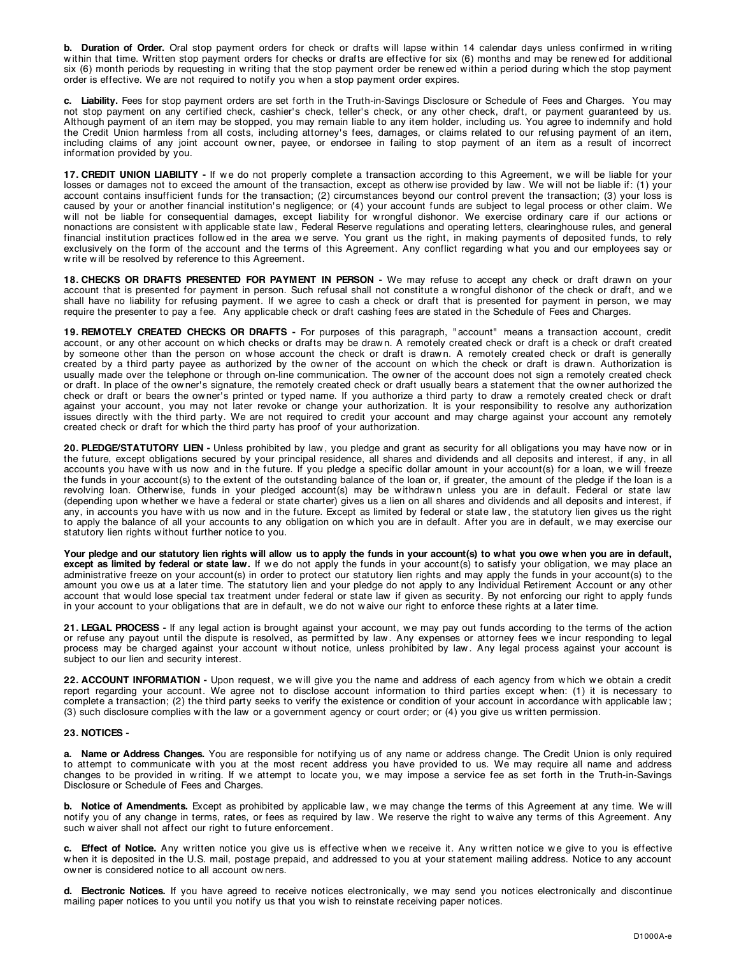**b. Duration of Order.** Oral stop payment orders for check or drafts will lapse within 14 calendar days unless confirmed in writing within that time. Written stop payment orders for checks or drafts are effective for six (6) months and may be renewed for additional six (6) month periods by requesting in w riting that the stop payment order be renew ed w ithin a period during w hich the stop payment order is effective. We are not required to notify you w hen a stop payment order expires.

**c. Liability.** Fees for stop payment orders are set forth in the Truth-in-Savings Disclosure or Schedule of Fees and Charges. You may not stop payment on any certified check, cashier's check, teller's check, or any other check, draft, or payment guaranteed by us. Although payment of an item may be stopped, you may remain liable to any item holder, including us. You agree to indemnify and hold the Credit Union harmless from all costs, including attorney' s fees, damages, or claims related to our refusing payment of an item, including claims of any joint account ow ner, payee, or endorsee in failing to stop payment of an item as a result of incorrect information provided by you.

17. CREDIT UNION LIABILITY - If we do not properly complete a transaction according to this Agreement, we will be liable for your losses or damages not to exceed the amount of the transaction, except as otherwise provided by law. We will not be liable if: (1) your account contains insufficient funds for the transaction; (2) circumstances beyond our control prevent the transaction; (3) your loss is caused by your or another financial institution's negligence; or (4) your account funds are subject to legal process or other claim. We w ill not be liable for consequential damages, except liability for w rongful dishonor. We exercise ordinary care if our actions or nonactions are consistent w ith applicable state law , Federal Reserve regulations and operating letters, clearinghouse rules, and general financial institution practices followed in the area we serve. You grant us the right, in making payments of deposited funds, to rely exclusively on the form of the account and the terms of this Agreement. Any conflict regarding w hat you and our employees say or w rite w ill be resolved by reference to this Agreement.

**18. CHECKS OR DRAFTS PRESENTED FOR PAYMENT IN PERSON -** We may refuse to accept any check or draft drawn on your account that is presented for payment in person. Such refusal shall not constitute a w rongful dishonor of the check or draft, and w e shall have no liability for refusing payment. If we agree to cash a check or draft that is presented for payment in person, we may require the presenter to pay a fee. Any applicable check or draft cashing fees are stated in the Schedule of Fees and Charges.

**19. REMOTELY CREATED CHECKS OR DRAFTS -** For purposes of this paragraph, " account" means a transaction account, credit account, or any other account on w hich checks or drafts may be draw n. A remotely created check or draft is a check or draft created by someone other than the person on w hose account the check or draft is draw n. A remotely created check or draft is generally created by a third party payee as authorized by the ow ner of the account on w hich the check or draft is draw n. Authorization is usually made over the telephone or through on-line communication. The ow ner of the account does not sign a remotely created check or draft. In place of the ow ner' s signature, the remotely created check or draft usually bears a statement that the ow ner authorized the check or draft or bears the ow ner' s printed or typed name. If you authorize a third party to draw a remotely created check or draft against your account, you may not later revoke or change your authorization. It is your responsibility to resolve any authorization issues directly w ith the third party. We are not required to credit your account and may charge against your account any remotely created check or draft for w hich the third party has proof of your authorization.

**20. PLEDGE/STATUTORY LIEN -** Unless prohibited by law , you pledge and grant as security for all obligations you may have now or in the future, except obligations secured by your principal residence, all shares and dividends and all deposits and interest, if any, in all accounts you have with us now and in the future. If you pledge a specific dollar amount in your account(s) for a loan, we will freeze the funds in your account(s) to the extent of the outstanding balance of the loan or, if greater, the amount of the pledge if the loan is a revolving loan. Otherwise, funds in your pledged account(s) may be withdrawn unless you are in default. Federal or state law (depending upon whether we have a federal or state charter) gives us a lien on all shares and dividends and all deposits and interest, if any, in accounts you have with us now and in the future. Except as limited by federal or state law, the statutory lien gives us the right to apply the balance of all your accounts to any obligation on which you are in default. After you are in default, we may exercise our statutory lien rights w ithout further notice to you.

**Your pledge and our statutory lien rights will allow us to apply the funds in your account(s) to what you owe when you are in default, except as limited by federal or state law.** If we do not apply the funds in your account(s) to satisfy your obligation, we may place an administrative freeze on your account(s) in order to protect our statutory lien rights and may apply the funds in your account(s) to the amount you ow e us at a later time. The statutory lien and your pledge do not apply to any Individual Retirement Account or any other account that w ould lose special tax treatment under federal or state law if given as security. By not enforcing our right to apply funds in your account to your obligations that are in default, w e do not w aive our right to enforce these rights at a later time.

21. LEGAL PROCESS - If any legal action is brought against your account, we may pay out funds according to the terms of the action or refuse any payout until the dispute is resolved, as permitted by law . Any expenses or attorney fees w e incur responding to legal process may be charged against your account without notice, unless prohibited by law. Any legal process against your account is subject to our lien and security interest.

22. ACCOUNT INFORMATION - Upon request, we will give you the name and address of each agency from which we obtain a credit report regarding your account. We agree not to disclose account information to third parties except w hen: (1) it is necessary to complete a transaction; (2) the third party seeks to verify the existence or condition of your account in accordance w ith applicable law ; (3) such disclosure complies w ith the law or a government agency or court order; or (4) you give us w ritten permission.

## **23. NOTICES -**

**a. Name or Address Changes.** You are responsible for notifying us of any name or address change. The Credit Union is only required to attempt to communicate w ith you at the most recent address you have provided to us. We may require all name and address changes to be provided in writing. If we attempt to locate you, we may impose a service fee as set forth in the Truth-in-Savings Disclosure or Schedule of Fees and Charges.

**b. Notice of Amendments.** Except as prohibited by applicable law, we may change the terms of this Agreement at any time. We will notify you of any change in terms, rates, or fees as required by law . We reserve the right to w aive any terms of this Agreement. Any such w aiver shall not affect our right to future enforcement.

c. Effect of Notice. Any written notice you give us is effective when we receive it. Any written notice we give to you is effective w hen it is deposited in the U.S. mail, postage prepaid, and addressed to you at your statement mailing address. Notice to any account ow ner is considered notice to all account ow ners.

d. Electronic Notices. If you have agreed to receive notices electronically, we may send you notices electronically and discontinue mailing paper notices to you until you notify us that you w ish to reinstate receiving paper notices.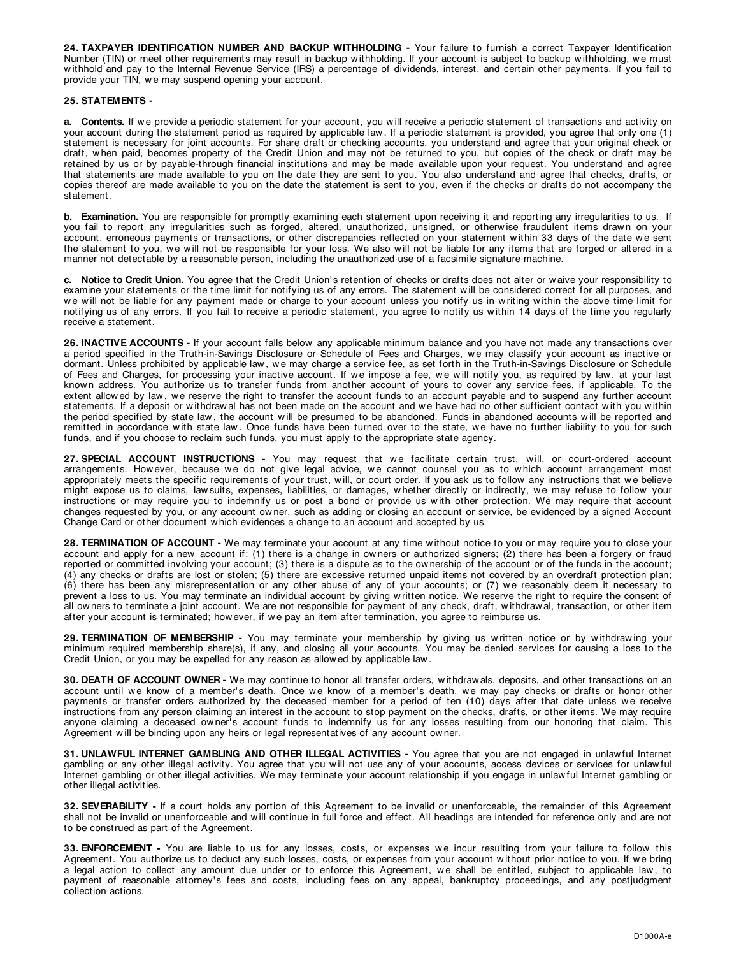**24. TAXPAYER IDENTIFICATION NUMBER AND BACKUP WITHHOLDING -** Your failure to furnish a correct Taxpayer Identification Number (TIN) or meet other requirements may result in backup withholding. If your account is subject to backup withholding, we must w ithhold and pay to the Internal Revenue Service (IRS) a percentage of dividends, interest, and certain other payments. If you fail to provide your TIN, w e may suspend opening your account.

# **25. STATEMENTS -**

a. Contents. If we provide a periodic statement for your account, you will receive a periodic statement of transactions and activity on your account during the statement period as required by applicable law . If a periodic statement is provided, you agree that only one (1) statement is necessary for joint accounts. For share draft or checking accounts, you understand and agree that your original check or draft, w hen paid, becomes property of the Credit Union and may not be returned to you, but copies of the check or draft may be retained by us or by payable-through financial institutions and may be made available upon your request. You understand and agree that statements are made available to you on the date they are sent to you. You also understand and agree that checks, drafts, or copies thereof are made available to you on the date the statement is sent to you, even if the checks or drafts do not accompany the statement.

**b. Examination.** You are responsible for promptly examining each statement upon receiving it and reporting any irregularities to us. If you fail to report any irregularities such as forged, altered, unauthorized, unsigned, or otherw ise fraudulent items draw n on your account, erroneous payments or transactions, or other discrepancies reflected on your statement w ithin 33 days of the date w e sent the statement to you, we will not be responsible for your loss. We also will not be liable for any items that are forged or altered in a manner not detectable by a reasonable person, including the unauthorized use of a facsimile signature machine.

c. Notice to Credit Union. You agree that the Credit Union's retention of checks or drafts does not alter or waive your responsibility to examine your statements or the time limit for notifying us of any errors. The statement will be considered correct for all purposes, and we will not be liable for any payment made or charge to your account unless you notify us in writing within the above time limit for notifying us of any errors. If you fail to receive a periodic statement, you agree to notify us w ithin 14 days of the time you regularly receive a statement.

**26. INACTIVE ACCOUNTS -** If your account falls below any applicable minimum balance and you have not made any transactions over a period specified in the Truth-in-Savings Disclosure or Schedule of Fees and Charges, we may classify your account as inactive or dormant. Unless prohibited by applicable law , w e may charge a service fee, as set forth in the Truth-in-Savings Disclosure or Schedule of Fees and Charges, for processing your inactive account. If we impose a fee, we will notify you, as required by law, at your last known address. You authorize us to transfer funds from another account of yours to cover any service fees, if applicable. To the extent allowed by law, we reserve the right to transfer the account funds to an account payable and to suspend any further account statements. If a deposit or withdrawal has not been made on the account and we have had no other sufficient contact with you within the period specified by state law , the account w ill be presumed to be abandoned. Funds in abandoned accounts w ill be reported and remitted in accordance w ith state law . Once funds have been turned over to the state, w e have no further liability to you for such funds, and if you choose to reclaim such funds, you must apply to the appropriate state agency.

27. SPECIAL ACCOUNT INSTRUCTIONS - You may request that we facilitate certain trust, will, or court-ordered account arrangements. How ever, because we do not give legal advice, we cannot counsel you as to which account arrangement most appropriately meets the specific requirements of your trust, w ill, or court order. If you ask us to follow any instructions that w e believe might expose us to claims, law suits, expenses, liabilities, or damages, w hether directly or indirectly, w e may refuse to follow your instructions or may require you to indemnify us or post a bond or provide us w ith other protection. We may require that account changes requested by you, or any account ow ner, such as adding or closing an account or service, be evidenced by a signed Account Change Card or other document w hich evidences a change to an account and accepted by us.

**28. TERMINATION OF ACCOUNT -** We may terminate your account at any time w ithout notice to you or may require you to close your account and apply for a new account if: (1) there is a change in ow ners or authorized signers; (2) there has been a forgery or fraud reported or committed involving your account; (3) there is a dispute as to the ownership of the account or of the funds in the account; (4) any checks or drafts are lost or stolen; (5) there are excessive returned unpaid items not covered by an overdraft protection plan; (6) there has been any misrepresentation or any other abuse of any of your accounts; or (7) w e reasonably deem it necessary to prevent a loss to us. You may terminate an individual account by giving w ritten notice. We reserve the right to require the consent of all ow ners to terminate a joint account. We are not responsible for payment of any check, draft, w ithdraw al, transaction, or other item after your account is terminated; how ever, if we pay an item after termination, you agree to reimburse us.

**29. TERMINATION OF MEMBERSHIP -** You may terminate your membership by giving us w ritten notice or by w ithdraw ing your minimum required membership share(s), if any, and closing all your accounts. You may be denied services for causing a loss to the Credit Union, or you may be expelled for any reason as allow ed by applicable law .

**30. DEATH OF ACCOUNT OWNER -** We may continue to honor all transfer orders, w ithdraw als, deposits, and other transactions on an account until we know of a member's death. Once we know of a member's death, we may pay checks or drafts or honor other payments or transfer orders authorized by the deceased member for a period of ten (10) days after that date unless we receive instructions from any person claiming an interest in the account to stop payment on the checks, drafts, or other items. We may require anyone claiming a deceased owner's account funds to indemnify us for any losses resulting from our honoring that claim. This Agreement w ill be binding upon any heirs or legal representatives of any account ow ner.

**31. UNLAWFUL INTERNET GAMBLING AND OTHER ILLEGAL ACTIVITIES -** You agree that you are not engaged in unlaw ful Internet gambling or any other illegal activity. You agree that you w ill not use any of your accounts, access devices or services for unlaw ful Internet gambling or other illegal activities. We may terminate your account relationship if you engage in unlawful Internet gambling or other illegal activities.

**32. SEVERABILITY -** If a court holds any portion of this Agreement to be invalid or unenforceable, the remainder of this Agreement shall not be invalid or unenforceable and will continue in full force and effect. All headings are intended for reference only and are not to be construed as part of the Agreement.

33. ENFORCEMENT - You are liable to us for any losses, costs, or expenses we incur resulting from your failure to follow this Agreement. You authorize us to deduct any such losses, costs, or expenses from your account w ithout prior notice to you. If w e bring a legal action to collect any amount due under or to enforce this Agreement, we shall be entitled, subject to applicable law, to payment of reasonable attorney's fees and costs, including fees on any appeal, bankruptcy proceedings, and any postjudgment collection actions.